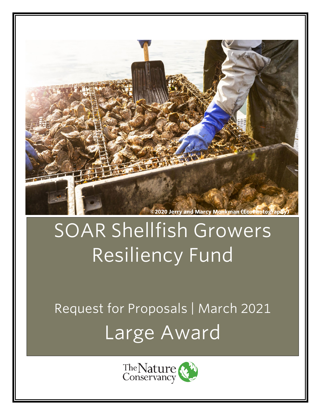

# SOAR Shellfish Growers Resiliency Fund

Request for Proposals | March 2021 Large Award

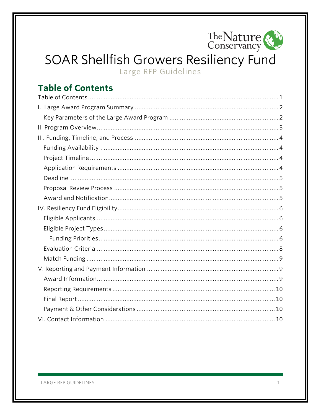

## SOAR Shellfish Growers Resiliency Fund

Large RFP Guidelines

## <span id="page-1-0"></span>**Table of Contents**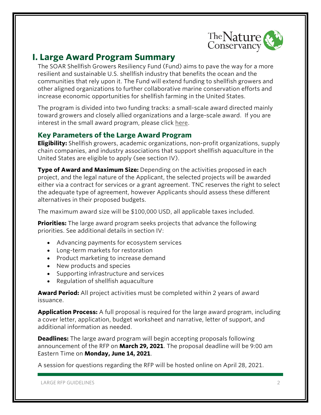

## <span id="page-2-0"></span>**I. Large Award Program Summary**

The SOAR Shellfish Growers Resiliency Fund (Fund) aims to pave the way for a more resilient and sustainable U.S. shellfish industry that benefits the ocean and the communities that rely upon it. The Fund will extend funding to shellfish growers and other aligned organizations to further collaborative marine conservation efforts and increase economic opportunities for shellfish farming in the United States.

The program is divided into two funding tracks: a small-scale award directed mainly toward growers and closely allied organizations and a large-scale award. If you are interest in the small award program, please click [here.](https://www.nature.org/en-us/what-we-do/our-priorities/provide-food-and-water-sustainably/food-and-water-stories/oyster-covid-relief-restoration/?vu=soar&tab_q=tab_container_copy-tab_element_1633269539)

## <span id="page-2-1"></span>**Key Parameters of the Large Award Program**

**Eligibility:** Shellfish growers, academic organizations, non-profit organizations, supply chain companies, and industry associations that support shellfish aquaculture in the United States are eligible to apply (see section IV).

**Type of Award and Maximum Size:** Depending on the activities proposed in each project, and the legal nature of the Applicant, the selected projects will be awarded either via a contract for services or a grant agreement. TNC reserves the right to select the adequate type of agreement, however Applicants should assess these different alternatives in their proposed budgets.

The maximum award size will be \$100,000 USD, all applicable taxes included.

**Priorities:** The large award program seeks projects that advance the following priorities. See additional details in section IV:

- Advancing payments for ecosystem services
- Long-term markets for restoration
- Product marketing to increase demand
- New products and species
- Supporting infrastructure and services
- Regulation of shellfish aquaculture

**Award Period:** All project activities must be completed within 2 years of award issuance.

**Application Process:** A full proposal is required for the large award program, including a cover letter, application, budget worksheet and narrative, letter of support, and additional information as needed.

**Deadlines:** The large award program will begin accepting proposals following announcement of the RFP on **March 29, 2021**. The proposal deadline will be 9:00 am Eastern Time on **Monday, June 14, 2021**.

A session for questions regarding the RFP will be hosted online on April 28, 2021.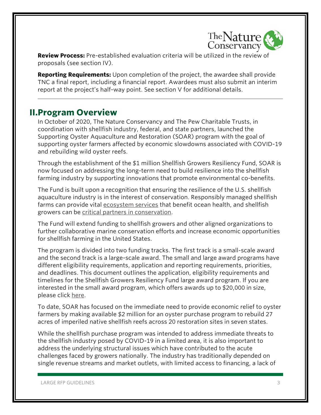

**Review Process:** Pre-established evaluation criteria will be utilized in the review of proposals (see section IV).

**Reporting Requirements:** Upon completion of the project, the awardee shall provide TNC a final report, including a financial report. Awardees must also submit an interim report at the project's half-way point. See section V for additional details.

## <span id="page-3-0"></span>**II.Program Overview**

In October of 2020, The Nature Conservancy and The Pew Charitable Trusts, in coordination with shellfish industry, federal, and state partners, launched the Supporting Oyster Aquaculture and Restoration (SOAR) program with the goal of supporting oyster farmers affected by economic slowdowns associated with COVID-19 and rebuilding wild oyster reefs.

Through the establishment of the \$1 million Shellfish Growers Resiliency Fund, SOAR is now focused on addressing the long-term need to build resilience into the shellfish farming industry by supporting innovations that promote environmental co-benefits.

The Fund is built upon a recognition that ensuring the resilience of the U.S. shellfish aquaculture industry is in the interest of conservation. Responsibly managed shellfish farms can provide vital [ecosystem services](https://www.nature.org/en-us/what-we-do/our-insights/perspectives/restorative-aquaculture-for-nature-and-communities/) that benefit ocean health, and shellfish growers can be [critical partners in conservation.](https://www.nature.org/en-us/what-we-do/our-priorities/tackle-climate-change/climate-change-stories/shellfish-growers-climate-coalition/)

The Fund will extend funding to shellfish growers and other aligned organizations to further collaborative marine conservation efforts and increase economic opportunities for shellfish farming in the United States.

The program is divided into two funding tracks. The first track is a small-scale award and the second track is a large-scale award. The small and large award programs have different eligibility requirements, application and reporting requirements, priorities, and deadlines. This document outlines the application, eligibility requirements and timelines for the Shellfish Growers Resiliency Fund large award program. If you are interested in the small award program, which offers awards up to \$20,000 in size, please click [here.](https://www.nature.org/en-us/what-we-do/our-priorities/provide-food-and-water-sustainably/food-and-water-stories/oyster-covid-relief-restoration/?vu=soar&tab_q=tab_container_copy-tab_element_1633269539)

To date, SOAR has focused on the immediate need to provide economic relief to oyster farmers by making available \$2 million for an oyster purchase program to rebuild 27 acres of imperiled native shellfish reefs across 20 restoration sites in seven states.

While the shellfish purchase program was intended to address immediate threats to the shellfish industry posed by COVID-19 in a limited area, it is also important to address the underlying structural issues which have contributed to the acute challenges faced by growers nationally. The industry has traditionally depended on single revenue streams and market outlets, with limited access to financing, a lack of

LARGE RFP GUIDELINES 3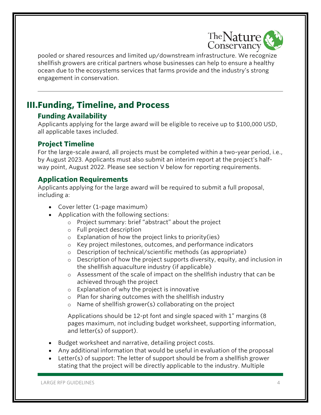

pooled or shared resources and limited up/downstream infrastructure. We recognize shellfish growers are critical partners whose businesses can help to ensure a healthy ocean due to the ecosystems services that farms provide and the industry's strong engagement in conservation.

## <span id="page-4-0"></span>**III.Funding, Timeline, and Process**

## <span id="page-4-1"></span>**Funding Availability**

Applicants applying for the large award will be eligible to receive up to \$100,000 USD, all applicable taxes included.

## <span id="page-4-2"></span>**Project Timeline**

For the large-scale award, all projects must be completed within a two-year period, i.e., by August 2023. Applicants must also submit an interim report at the project's halfway point, August 2022. Please see section V below for reporting requirements.

## <span id="page-4-3"></span>**Application Requirements**

Applicants applying for the large award will be required to submit a full proposal, including a:

- Cover letter (1-page maximum)
- Application with the following sections:
	- o Project summary: brief "abstract" about the project
	- o Full project description
	- $\circ$  Explanation of how the project links to priority(ies)
	- o Key project milestones, outcomes, and performance indicators
	- o Description of technical/scientific methods (as appropriate)
	- o Description of how the project supports diversity, equity, and inclusion in the shellfish aquaculture industry (if applicable)
	- $\circ$  Assessment of the scale of impact on the shellfish industry that can be achieved through the project
	- o Explanation of why the project is innovative
	- o Plan for sharing outcomes with the shellfish industry
	- o Name of shellfish grower(s) collaborating on the project

Applications should be 12-pt font and single spaced with 1" margins (8 pages maximum, not including budget worksheet, supporting information, and letter(s) of support).

- Budget worksheet and narrative, detailing project costs.
- Any additional information that would be useful in evaluation of the proposal
- Letter(s) of support: The letter of support should be from a shellfish grower stating that the project will be directly applicable to the industry. Multiple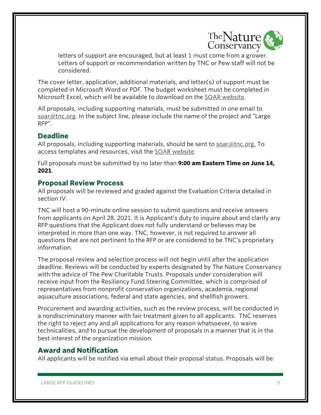

letters of support are encouraged, but at least 1 must come from a grower. Letters of support or recommendation written by TNC or Pew staff will not be considered.

The cover letter, application, additional materials, and letter(s) of support must be completed in Microsoft Word or PDF. The budget worksheet must be completed in Microsoft Excel, which will be available to download on the [SOAR website.](https://www.nature.org/en-us/what-we-do/our-priorities/provide-food-and-water-sustainably/food-and-water-stories/oyster-covid-relief-restoration/?vu=soar&tab_q=tab_container_copy-tab_element_1633269539)

All proposals, including supporting materials, must be submitted in one email to [soar@tnc.org.](mailto:soar@tnc.org) In the subject line, please include the name of the project and "Large RFP".

## <span id="page-5-0"></span>**Deadline**

All proposals, including supporting materials, should be sent to [soar@tnc.org.](mailto:soar@tnc.org) To access templates and resources, visit the [SOAR website.](https://www.nature.org/en-us/what-we-do/our-priorities/provide-food-and-water-sustainably/food-and-water-stories/oyster-covid-relief-restoration/?vu=soar&tab_q=tab_container_copy-tab_element_1633269539)

Full proposals must be submitted by no later than **9:00 am Eastern Time on June 14, 2021**.

#### <span id="page-5-1"></span>**Proposal Review Process**

All proposals will be reviewed and graded against the Evaluation Criteria detailed in section IV.

TNC will host a 90-minute online session to submit questions and receive answers from applicants on April 28, 2021. It is Applicant's duty to inquire about and clarify any RFP questions that the Applicant does not fully understand or believes may be interpreted in more than one way. TNC, however, is not required to answer all questions that are not pertinent to the RFP or are considered to be TNC's proprietary information.

The proposal review and selection process will not begin until after the application deadline. Reviews will be conducted by experts designated by The Nature Conservancy with the advice of The Pew Charitable Trusts. Proposals under consideration will receive input from the Resiliency Fund Steering Committee, which is comprised of representatives from nonprofit conservation organizations, academia, regional aquaculture associations, federal and state agencies, and shellfish growers.

Procurement and awarding activities, such as the review process, will be conducted in a nondiscriminatory manner with fair treatment given to all applicants. TNC reserves the right to reject any and all applications for any reason whatsoever, to waive technicalities, and to pursue the development of proposals in a manner that is in the best interest of the organization mission.

#### <span id="page-5-2"></span>**Award and Notification**

All applicants will be notified via email about their proposal status. Proposals will be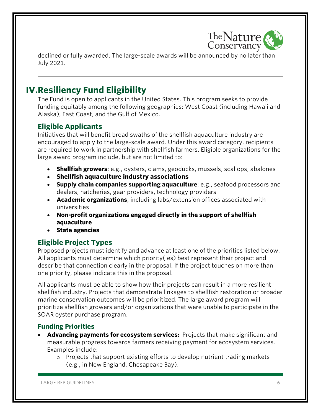

declined or fully awarded. The large-scale awards will be announced by no later than July 2021.

## **IV.Resiliency Fund Eligibility**

The Fund is open to applicants in the United States. This program seeks to provide funding equitably among the following geographies: West Coast (including Hawaii and Alaska), East Coast, and the Gulf of Mexico.

## **Eligible Applicants**

Initiatives that will benefit broad swaths of the shellfish aquaculture industry are encouraged to apply to the large-scale award. Under this award category, recipients are required to work in partnership with shellfish farmers. Eligible organizations for the large award program include, but are not limited to:

- **Shellfish growers**: e.g., oysters, clams, geoducks, mussels, scallops, abalones
- **Shellfish aquaculture industry associations**
- **Supply chain companies supporting aquaculture**: e.g., seafood processors and dealers, hatcheries, gear providers, technology providers
- **Academic organizations**, including labs/extension offices associated with universities
- **Non-profit organizations engaged directly in the support of shellfish aquaculture**
- **State agencies**

## **Eligible Project Types**

Proposed projects must identify and advance at least one of the priorities listed below. All applicants must determine which priority(ies) best represent their project and describe that connection clearly in the proposal. If the project touches on more than one priority, please indicate this in the proposal.

All applicants must be able to show how their projects can result in a more resilient shellfish industry. Projects that demonstrate linkages to shellfish restoration or broader marine conservation outcomes will be prioritized. The large award program will prioritize shellfish growers and/or organizations that were unable to participate in the SOAR oyster purchase program.

#### **Funding Priorities**

- **Advancing payments for ecosystem services:** Projects that make significant and measurable progress towards farmers receiving payment for ecosystem services. Examples include:
	- o Projects that support existing efforts to develop nutrient trading markets (e.g., in New England, Chesapeake Bay).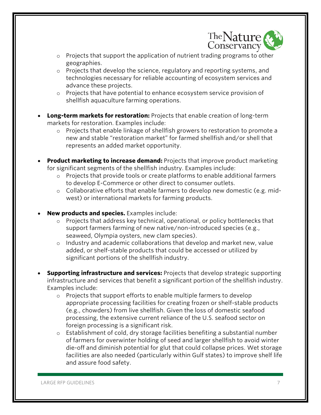

- $\circ$  Projects that support the application of nutrient trading programs to other geographies.
- o Projects that develop the science, regulatory and reporting systems, and technologies necessary for reliable accounting of ecosystem services and advance these projects.
- o Projects that have potential to enhance ecosystem service provision of shellfish aquaculture farming operations.
- **Long-term markets for restoration:** Projects that enable creation of long-term markets for restoration. Examples include:
	- o Projects that enable linkage of shellfish growers to restoration to promote a new and stable "restoration market" for farmed shellfish and/or shell that represents an added market opportunity.
- **Product marketing to increase demand:** Projects that improve product marketing for significant segments of the shellfish industry. Examples include:
	- o Projects that provide tools or create platforms to enable additional farmers to develop E-Commerce or other direct to consumer outlets.
	- o Collaborative efforts that enable farmers to develop new domestic (e.g. midwest) or international markets for farming products.
- **New products and species.** Examples include:
	- o Projects that address key technical, operational, or policy bottlenecks that support farmers farming of new native/non-introduced species (e.g., seaweed, Olympia oysters, new clam species).
	- o Industry and academic collaborations that develop and market new, value added, or shelf-stable products that could be accessed or utilized by significant portions of the shellfish industry.
- **Supporting infrastructure and services:** Projects that develop strategic supporting infrastructure and services that benefit a significant portion of the shellfish industry. Examples include:
	- o Projects that support efforts to enable multiple farmers to develop appropriate processing facilities for creating frozen or shelf-stable products (e.g., chowders) from live shellfish. Given the loss of domestic seafood processing, the extensive current reliance of the U.S. seafood sector on foreign processing is a significant risk.
	- $\circ$  Establishment of cold, dry storage facilities benefiting a substantial number of farmers for overwinter holding of seed and larger shellfish to avoid winter die-off and diminish potential for glut that could collapse prices. Wet storage facilities are also needed (particularly within Gulf states) to improve shelf life and assure food safety.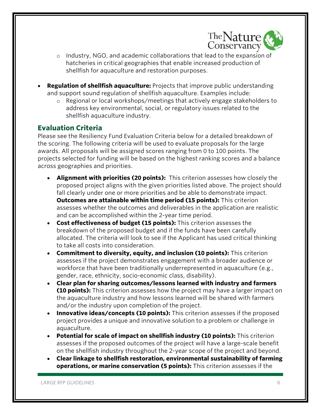

- o Industry, NGO, and academic collaborations that lead to the expansion of hatcheries in critical geographies that enable increased production of shellfish for aquaculture and restoration purposes.
- **Regulation of shellfish aquaculture:** Projects that improve public understanding and support sound regulation of shellfish aquaculture. Examples include:
	- o Regional or local workshops/meetings that actively engage stakeholders to address key environmental, social, or regulatory issues related to the shellfish aquaculture industry.

## <span id="page-8-0"></span>**Evaluation Criteria**

Please see the Resiliency Fund Evaluation Criteria below for a detailed breakdown of the scoring. The following criteria will be used to evaluate proposals for the large awards. All proposals will be assigned scores ranging from 0 to 100 points. The projects selected for funding will be based on the highest ranking scores and a balance across geographies and priorities.

- **Alignment with priorities (20 points):** This criterion assesses how closely the proposed project aligns with the given priorities listed above. The project should fall clearly under one or more priorities and be able to demonstrate impact. **Outcomes are attainable within time period (15 points):** This criterion assesses whether the outcomes and deliverables in the application are realistic and can be accomplished within the 2-year time period.
- **Cost effectiveness of budget (15 points):** This criterion assesses the breakdown of the proposed budget and if the funds have been carefully allocated. The criteria will look to see if the Applicant has used critical thinking to take all costs into consideration.
- **Commitment to diversity, equity, and inclusion (10 points):** This criterion assesses if the project demonstrates engagement with a broader audience or workforce that have been traditionally underrepresented in aquaculture (e.g., gender, race, ethnicity, socio-economic class, disability).
- **Clear plan for sharing outcomes/lessons learned with industry and farmers (10 points):** This criterion assesses how the project may have a larger impact on the aquaculture industry and how lessons learned will be shared with farmers and/or the industry upon completion of the project.
- **Innovative ideas/concepts (10 points):** This criterion assesses if the proposed project provides a unique and innovative solution to a problem or challenge in aquaculture.
- **Potential for scale of impact on shellfish industry (10 points):** This criterion assesses if the proposed outcomes of the project will have a large-scale benefit on the shellfish industry throughout the 2-year scope of the project and beyond.
- **Clear linkage to shellfish restoration, environmental sustainability of farming operations, or marine conservation (5 points):** This criterion assesses if the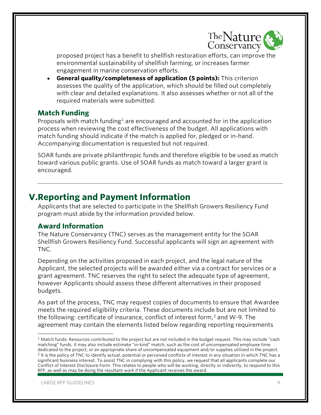

proposed project has a benefit to shellfish restoration efforts, can improve the environmental sustainability of shellfish farming, or increases farmer engagement in marine conservation efforts.

• **General quality/completeness of application (5 points):** This criterion assesses the quality of the application, which should be filled out completely with clear and detailed explanations. It also assesses whether or not all of the required materials were submitted.

#### <span id="page-9-0"></span>**Match Funding**

Proposals with match funding<sup>[1](#page-9-3)</sup> are encouraged and accounted for in the application process when reviewing the cost effectiveness of the budget. All applications with match funding should indicate if the match is applied for, pledged or in-hand. Accompanying documentation is requested but not required.

SOAR funds are private philanthropic funds and therefore eligible to be used as match toward various public grants. Use of SOAR funds as match toward a larger grant is encouraged.

## <span id="page-9-1"></span>**V.Reporting and Payment Information**

Applicants that are selected to participate in the Shellfish Growers Resiliency Fund program must abide by the information provided below.

#### <span id="page-9-2"></span>**Award Information**

The Nature Conservancy (TNC) serves as the management entity for the SOAR Shellfish Growers Resiliency Fund. Successful applicants will sign an agreement with TNC.

Depending on the activities proposed in each project, and the legal nature of the Applicant, the selected projects will be awarded either via a contract for services or a grant agreement. TNC reserves the right to select the adequate type of agreement, however Applicants should assess these different alternatives in their proposed budgets.

As part of the process, TNC may request copies of documents to ensure that Awardee meets the required eligibility criteria. These documents include but are not limited to the following: certificate of insurance, conflict of interest form, $<sup>2</sup>$  $<sup>2</sup>$  $<sup>2</sup>$  and W-9. The</sup> agreement may contain the elements listed below regarding reporting requirements

<span id="page-9-4"></span><span id="page-9-3"></span> $1$  Match funds: Resources contributed to the project but are not included in the budget request. This may include "cash matching" funds. It may also include estimate "in-kind" match, such as the cost of uncompensated employee time dedicated to the project, or an appropriate share of uncompensated equipment and/or supplies utilized in the project. <sup>2</sup> It is the policy of TNC to identify actual, potential or perceived conflicts of interest in any situation in which TNC has a significant business interest. To assist TNC in complying with this policy, we request that all applicants complete our Conflict of Interest Disclosure Form. This relates to people who will be working, directly or indirectly, to respond to this RFP, as well as may be doing the resultant work if the Applicant receives the award.